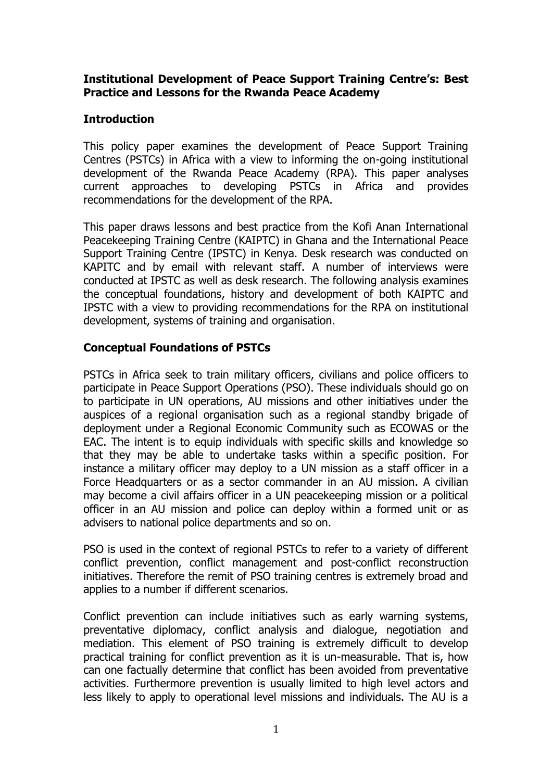### **Institutional Development of Peace Support Training Centre's: Best Practice and Lessons for the Rwanda Peace Academy**

### **Introduction**

This policy paper examines the development of Peace Support Training Centres (PSTCs) in Africa with a view to informing the on-going institutional development of the Rwanda Peace Academy (RPA). This paper analyses current approaches to developing PSTCs in Africa and provides recommendations for the development of the RPA.

This paper draws lessons and best practice from the Kofi Anan International Peacekeeping Training Centre (KAIPTC) in Ghana and the International Peace Support Training Centre (IPSTC) in Kenya. Desk research was conducted on KAPITC and by email with relevant staff. A number of interviews were conducted at IPSTC as well as desk research. The following analysis examines the conceptual foundations, history and development of both KAIPTC and IPSTC with a view to providing recommendations for the RPA on institutional development, systems of training and organisation.

### **Conceptual Foundations of PSTCs**

PSTCs in Africa seek to train military officers, civilians and police officers to participate in Peace Support Operations (PSO). These individuals should go on to participate in UN operations, AU missions and other initiatives under the auspices of a regional organisation such as a regional standby brigade of deployment under a Regional Economic Community such as ECOWAS or the EAC. The intent is to equip individuals with specific skills and knowledge so that they may be able to undertake tasks within a specific position. For instance a military officer may deploy to a UN mission as a staff officer in a Force Headquarters or as a sector commander in an AU mission. A civilian may become a civil affairs officer in a UN peacekeeping mission or a political officer in an AU mission and police can deploy within a formed unit or as advisers to national police departments and so on.

PSO is used in the context of regional PSTCs to refer to a variety of different conflict prevention, conflict management and post-conflict reconstruction initiatives. Therefore the remit of PSO training centres is extremely broad and applies to a number if different scenarios.

Conflict prevention can include initiatives such as early warning systems, preventative diplomacy, conflict analysis and dialogue, negotiation and mediation. This element of PSO training is extremely difficult to develop practical training for conflict prevention as it is un-measurable. That is, how can one factually determine that conflict has been avoided from preventative activities. Furthermore prevention is usually limited to high level actors and less likely to apply to operational level missions and individuals. The AU is a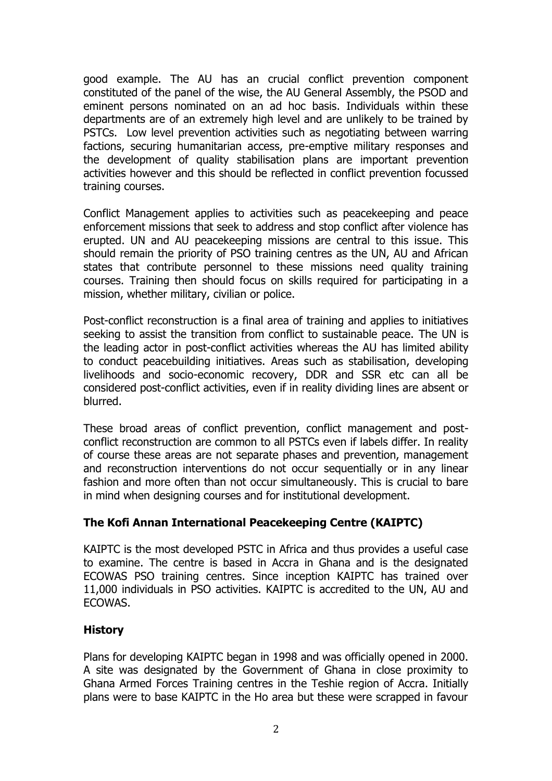good example. The AU has an crucial conflict prevention component constituted of the panel of the wise, the AU General Assembly, the PSOD and eminent persons nominated on an ad hoc basis. Individuals within these departments are of an extremely high level and are unlikely to be trained by PSTCs. Low level prevention activities such as negotiating between warring factions, securing humanitarian access, pre-emptive military responses and the development of quality stabilisation plans are important prevention activities however and this should be reflected in conflict prevention focussed training courses.

Conflict Management applies to activities such as peacekeeping and peace enforcement missions that seek to address and stop conflict after violence has erupted. UN and AU peacekeeping missions are central to this issue. This should remain the priority of PSO training centres as the UN, AU and African states that contribute personnel to these missions need quality training courses. Training then should focus on skills required for participating in a mission, whether military, civilian or police.

Post-conflict reconstruction is a final area of training and applies to initiatives seeking to assist the transition from conflict to sustainable peace. The UN is the leading actor in post-conflict activities whereas the AU has limited ability to conduct peacebuilding initiatives. Areas such as stabilisation, developing livelihoods and socio-economic recovery, DDR and SSR etc can all be considered post-conflict activities, even if in reality dividing lines are absent or blurred.

These broad areas of conflict prevention, conflict management and postconflict reconstruction are common to all PSTCs even if labels differ. In reality of course these areas are not separate phases and prevention, management and reconstruction interventions do not occur sequentially or in any linear fashion and more often than not occur simultaneously. This is crucial to bare in mind when designing courses and for institutional development.

## **The Kofi Annan International Peacekeeping Centre (KAIPTC)**

KAIPTC is the most developed PSTC in Africa and thus provides a useful case to examine. The centre is based in Accra in Ghana and is the designated ECOWAS PSO training centres. Since inception KAIPTC has trained over 11,000 individuals in PSO activities. KAIPTC is accredited to the UN, AU and ECOWAS.

## **History**

Plans for developing KAIPTC began in 1998 and was officially opened in 2000. A site was designated by the Government of Ghana in close proximity to Ghana Armed Forces Training centres in the Teshie region of Accra. Initially plans were to base KAIPTC in the Ho area but these were scrapped in favour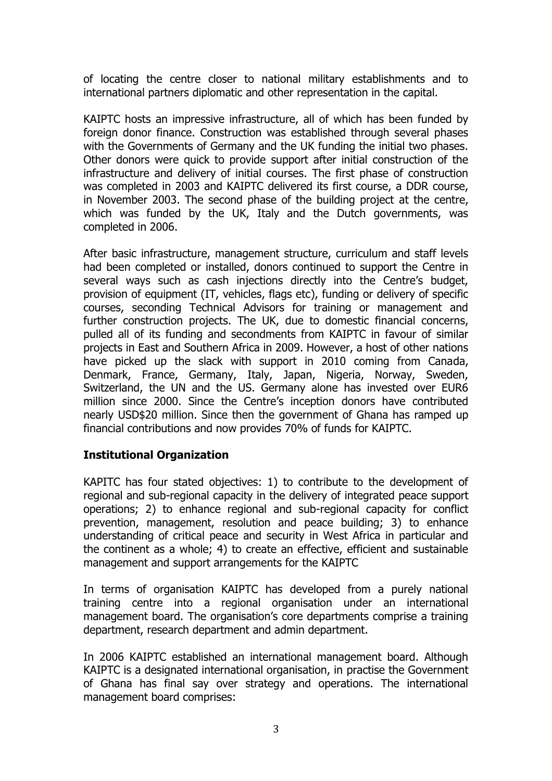of locating the centre closer to national military establishments and to international partners diplomatic and other representation in the capital.

KAIPTC hosts an impressive infrastructure, all of which has been funded by foreign donor finance. Construction was established through several phases with the Governments of Germany and the UK funding the initial two phases. Other donors were quick to provide support after initial construction of the infrastructure and delivery of initial courses. The first phase of construction was completed in 2003 and KAIPTC delivered its first course, a DDR course, in November 2003. The second phase of the building project at the centre, which was funded by the UK, Italy and the Dutch governments, was completed in 2006.

After basic infrastructure, management structure, curriculum and staff levels had been completed or installed, donors continued to support the Centre in several ways such as cash injections directly into the Centre's budget, provision of equipment (IT, vehicles, flags etc), funding or delivery of specific courses, seconding Technical Advisors for training or management and further construction projects. The UK, due to domestic financial concerns, pulled all of its funding and secondments from KAIPTC in favour of similar projects in East and Southern Africa in 2009. However, a host of other nations have picked up the slack with support in 2010 coming from Canada, Denmark, France, Germany, Italy, Japan, Nigeria, Norway, Sweden, Switzerland, the UN and the US. Germany alone has invested over EUR6 million since 2000. Since the Centre's inception donors have contributed nearly USD\$20 million. Since then the government of Ghana has ramped up financial contributions and now provides 70% of funds for KAIPTC.

### **Institutional Organization**

KAPITC has four stated objectives: 1) to contribute to the development of regional and sub-regional capacity in the delivery of integrated peace support operations; 2) to enhance regional and sub-regional capacity for conflict prevention, management, resolution and peace building; 3) to enhance understanding of critical peace and security in West Africa in particular and the continent as a whole; 4) to create an effective, efficient and sustainable management and support arrangements for the KAIPTC

In terms of organisation KAIPTC has developed from a purely national training centre into a regional organisation under an international management board. The organisation's core departments comprise a training department, research department and admin department.

In 2006 KAIPTC established an international management board. Although KAIPTC is a designated international organisation, in practise the Government of Ghana has final say over strategy and operations. The international management board comprises: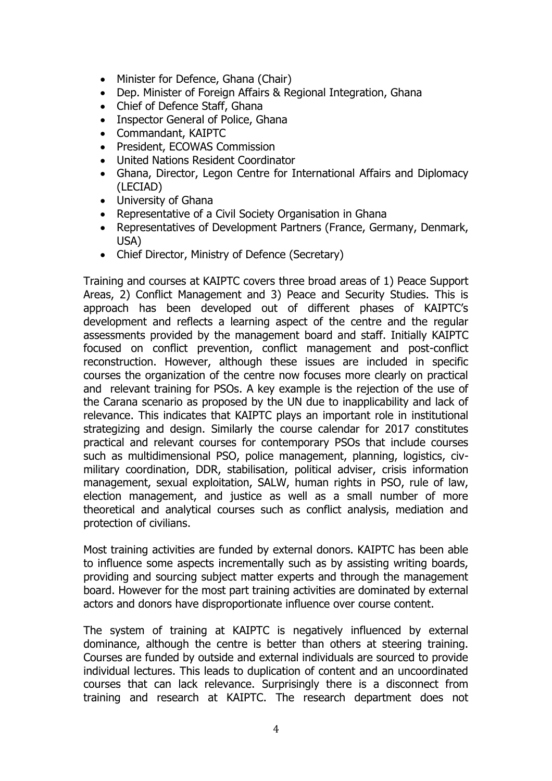- Minister for Defence, Ghana (Chair)
- Dep. Minister of Foreign Affairs & Regional Integration, Ghana
- Chief of Defence Staff, Ghana
- Inspector General of Police, Ghana
- Commandant, KAIPTC
- President, ECOWAS Commission
- United Nations Resident Coordinator
- Ghana, Director, Legon Centre for International Affairs and Diplomacy (LECIAD)
- University of Ghana
- Representative of a Civil Society Organisation in Ghana
- Representatives of Development Partners (France, Germany, Denmark, USA)
- Chief Director, Ministry of Defence (Secretary)

Training and courses at KAIPTC covers three broad areas of 1) Peace Support Areas, 2) Conflict Management and 3) Peace and Security Studies. This is approach has been developed out of different phases of KAIPTC's development and reflects a learning aspect of the centre and the regular assessments provided by the management board and staff. Initially KAIPTC focused on conflict prevention, conflict management and post-conflict reconstruction. However, although these issues are included in specific courses the organization of the centre now focuses more clearly on practical and relevant training for PSOs. A key example is the rejection of the use of the Carana scenario as proposed by the UN due to inapplicability and lack of relevance. This indicates that KAIPTC plays an important role in institutional strategizing and design. Similarly the course calendar for 2017 constitutes practical and relevant courses for contemporary PSOs that include courses such as multidimensional PSO, police management, planning, logistics, civmilitary coordination, DDR, stabilisation, political adviser, crisis information management, sexual exploitation, SALW, human rights in PSO, rule of law, election management, and justice as well as a small number of more theoretical and analytical courses such as conflict analysis, mediation and protection of civilians.

Most training activities are funded by external donors. KAIPTC has been able to influence some aspects incrementally such as by assisting writing boards, providing and sourcing subject matter experts and through the management board. However for the most part training activities are dominated by external actors and donors have disproportionate influence over course content.

The system of training at KAIPTC is negatively influenced by external dominance, although the centre is better than others at steering training. Courses are funded by outside and external individuals are sourced to provide individual lectures. This leads to duplication of content and an uncoordinated courses that can lack relevance. Surprisingly there is a disconnect from training and research at KAIPTC. The research department does not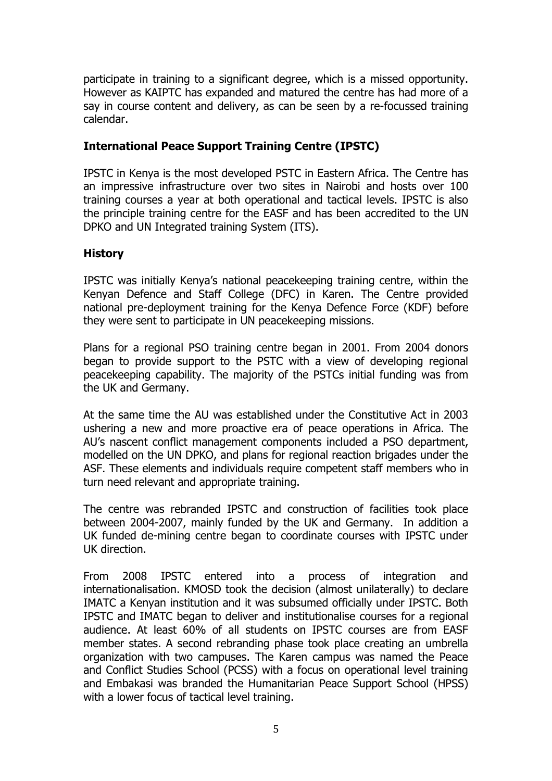participate in training to a significant degree, which is a missed opportunity. However as KAIPTC has expanded and matured the centre has had more of a say in course content and delivery, as can be seen by a re-focussed training calendar.

### **International Peace Support Training Centre (IPSTC)**

IPSTC in Kenya is the most developed PSTC in Eastern Africa. The Centre has an impressive infrastructure over two sites in Nairobi and hosts over 100 training courses a year at both operational and tactical levels. IPSTC is also the principle training centre for the EASF and has been accredited to the UN DPKO and UN Integrated training System (ITS).

### **History**

IPSTC was initially Kenya's national peacekeeping training centre, within the Kenyan Defence and Staff College (DFC) in Karen. The Centre provided national pre-deployment training for the Kenya Defence Force (KDF) before they were sent to participate in UN peacekeeping missions.

Plans for a regional PSO training centre began in 2001. From 2004 donors began to provide support to the PSTC with a view of developing regional peacekeeping capability. The majority of the PSTCs initial funding was from the UK and Germany.

At the same time the AU was established under the Constitutive Act in 2003 ushering a new and more proactive era of peace operations in Africa. The AU's nascent conflict management components included a PSO department, modelled on the UN DPKO, and plans for regional reaction brigades under the ASF. These elements and individuals require competent staff members who in turn need relevant and appropriate training.

The centre was rebranded IPSTC and construction of facilities took place between 2004-2007, mainly funded by the UK and Germany. In addition a UK funded de-mining centre began to coordinate courses with IPSTC under UK direction.

From 2008 IPSTC entered into a process of integration and internationalisation. KMOSD took the decision (almost unilaterally) to declare IMATC a Kenyan institution and it was subsumed officially under IPSTC. Both IPSTC and IMATC began to deliver and institutionalise courses for a regional audience. At least 60% of all students on IPSTC courses are from EASF member states. A second rebranding phase took place creating an umbrella organization with two campuses. The Karen campus was named the Peace and Conflict Studies School (PCSS) with a focus on operational level training and Embakasi was branded the Humanitarian Peace Support School (HPSS) with a lower focus of tactical level training.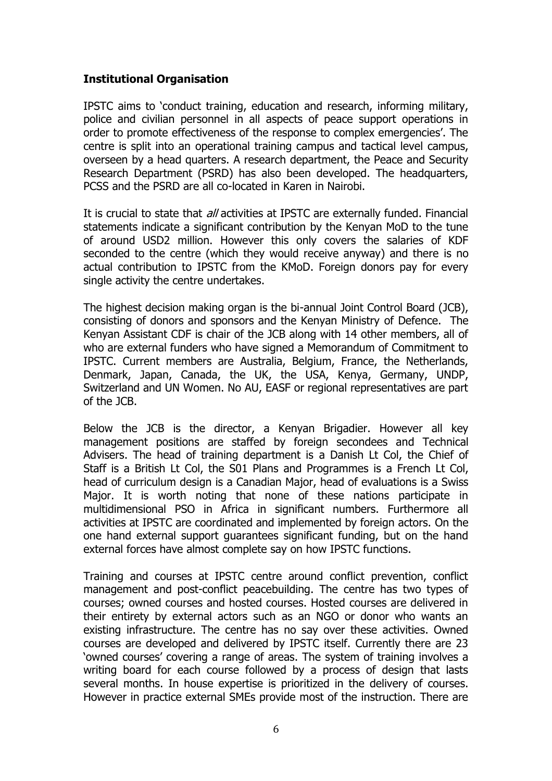#### **Institutional Organisation**

IPSTC aims to 'conduct training, education and research, informing military, police and civilian personnel in all aspects of peace support operations in order to promote effectiveness of the response to complex emergencies'. The centre is split into an operational training campus and tactical level campus, overseen by a head quarters. A research department, the Peace and Security Research Department (PSRD) has also been developed. The headquarters, PCSS and the PSRD are all co-located in Karen in Nairobi.

It is crucial to state that *all* activities at IPSTC are externally funded. Financial statements indicate a significant contribution by the Kenyan MoD to the tune of around USD2 million. However this only covers the salaries of KDF seconded to the centre (which they would receive anyway) and there is no actual contribution to IPSTC from the KMoD. Foreign donors pay for every single activity the centre undertakes.

The highest decision making organ is the bi-annual Joint Control Board (JCB), consisting of donors and sponsors and the Kenyan Ministry of Defence. The Kenyan Assistant CDF is chair of the JCB along with 14 other members, all of who are external funders who have signed a Memorandum of Commitment to IPSTC. Current members are Australia, Belgium, France, the Netherlands, Denmark, Japan, Canada, the UK, the USA, Kenya, Germany, UNDP, Switzerland and UN Women. No AU, EASF or regional representatives are part of the JCB.

Below the JCB is the director, a Kenyan Brigadier. However all key management positions are staffed by foreign secondees and Technical Advisers. The head of training department is a Danish Lt Col, the Chief of Staff is a British Lt Col, the S01 Plans and Programmes is a French Lt Col, head of curriculum design is a Canadian Major, head of evaluations is a Swiss Major. It is worth noting that none of these nations participate in multidimensional PSO in Africa in significant numbers. Furthermore all activities at IPSTC are coordinated and implemented by foreign actors. On the one hand external support guarantees significant funding, but on the hand external forces have almost complete say on how IPSTC functions.

Training and courses at IPSTC centre around conflict prevention, conflict management and post-conflict peacebuilding. The centre has two types of courses; owned courses and hosted courses. Hosted courses are delivered in their entirety by external actors such as an NGO or donor who wants an existing infrastructure. The centre has no say over these activities. Owned courses are developed and delivered by IPSTC itself. Currently there are 23 'owned courses' covering a range of areas. The system of training involves a writing board for each course followed by a process of design that lasts several months. In house expertise is prioritized in the delivery of courses. However in practice external SMEs provide most of the instruction. There are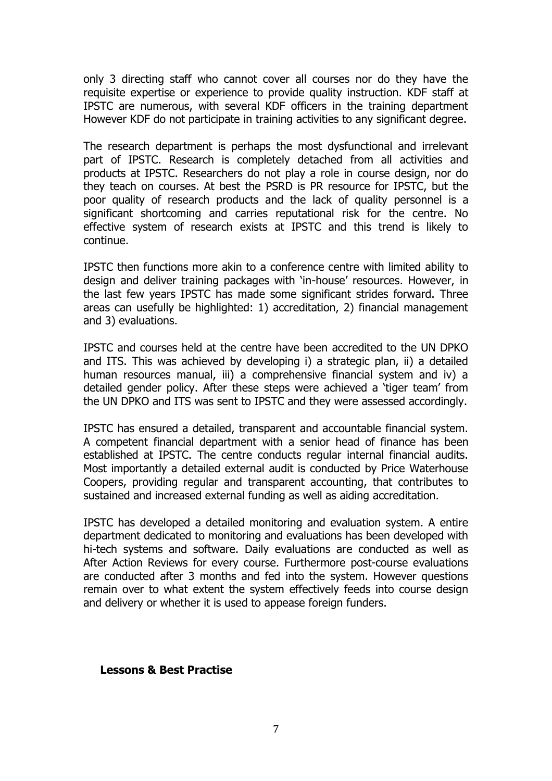only 3 directing staff who cannot cover all courses nor do they have the requisite expertise or experience to provide quality instruction. KDF staff at IPSTC are numerous, with several KDF officers in the training department However KDF do not participate in training activities to any significant degree.

The research department is perhaps the most dysfunctional and irrelevant part of IPSTC. Research is completely detached from all activities and products at IPSTC. Researchers do not play a role in course design, nor do they teach on courses. At best the PSRD is PR resource for IPSTC, but the poor quality of research products and the lack of quality personnel is a significant shortcoming and carries reputational risk for the centre. No effective system of research exists at IPSTC and this trend is likely to continue.

IPSTC then functions more akin to a conference centre with limited ability to design and deliver training packages with 'in-house' resources. However, in the last few years IPSTC has made some significant strides forward. Three areas can usefully be highlighted: 1) accreditation, 2) financial management and 3) evaluations.

IPSTC and courses held at the centre have been accredited to the UN DPKO and ITS. This was achieved by developing i) a strategic plan, ii) a detailed human resources manual, iii) a comprehensive financial system and iv) a detailed gender policy. After these steps were achieved a 'tiger team' from the UN DPKO and ITS was sent to IPSTC and they were assessed accordingly.

IPSTC has ensured a detailed, transparent and accountable financial system. A competent financial department with a senior head of finance has been established at IPSTC. The centre conducts regular internal financial audits. Most importantly a detailed external audit is conducted by Price Waterhouse Coopers, providing regular and transparent accounting, that contributes to sustained and increased external funding as well as aiding accreditation.

IPSTC has developed a detailed monitoring and evaluation system. A entire department dedicated to monitoring and evaluations has been developed with hi-tech systems and software. Daily evaluations are conducted as well as After Action Reviews for every course. Furthermore post-course evaluations are conducted after 3 months and fed into the system. However questions remain over to what extent the system effectively feeds into course design and delivery or whether it is used to appease foreign funders.

#### **Lessons & Best Practise**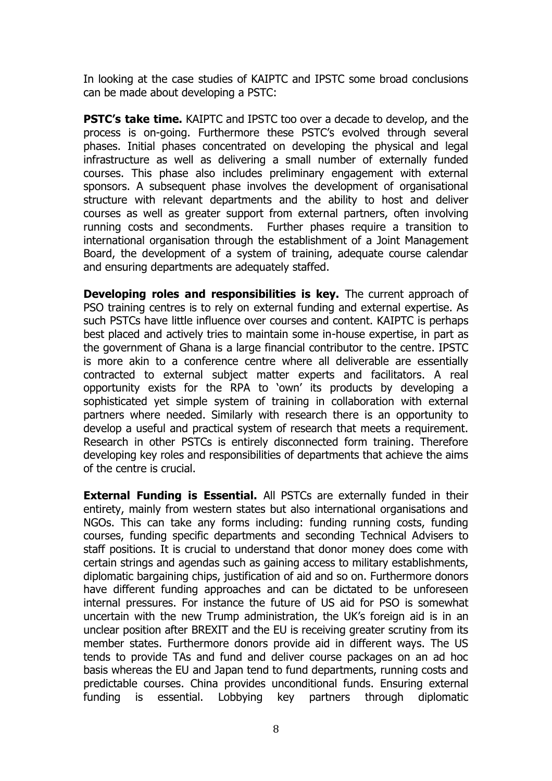In looking at the case studies of KAIPTC and IPSTC some broad conclusions can be made about developing a PSTC:

**PSTC's take time.** KAIPTC and IPSTC too over a decade to develop, and the process is on-going. Furthermore these PSTC's evolved through several phases. Initial phases concentrated on developing the physical and legal infrastructure as well as delivering a small number of externally funded courses. This phase also includes preliminary engagement with external sponsors. A subsequent phase involves the development of organisational structure with relevant departments and the ability to host and deliver courses as well as greater support from external partners, often involving running costs and secondments. Further phases require a transition to international organisation through the establishment of a Joint Management Board, the development of a system of training, adequate course calendar and ensuring departments are adequately staffed.

**Developing roles and responsibilities is key.** The current approach of PSO training centres is to rely on external funding and external expertise. As such PSTCs have little influence over courses and content. KAIPTC is perhaps best placed and actively tries to maintain some in-house expertise, in part as the government of Ghana is a large financial contributor to the centre. IPSTC is more akin to a conference centre where all deliverable are essentially contracted to external subject matter experts and facilitators. A real opportunity exists for the RPA to 'own' its products by developing a sophisticated yet simple system of training in collaboration with external partners where needed. Similarly with research there is an opportunity to develop a useful and practical system of research that meets a requirement. Research in other PSTCs is entirely disconnected form training. Therefore developing key roles and responsibilities of departments that achieve the aims of the centre is crucial.

**External Funding is Essential.** All PSTCs are externally funded in their entirety, mainly from western states but also international organisations and NGOs. This can take any forms including: funding running costs, funding courses, funding specific departments and seconding Technical Advisers to staff positions. It is crucial to understand that donor money does come with certain strings and agendas such as gaining access to military establishments, diplomatic bargaining chips, justification of aid and so on. Furthermore donors have different funding approaches and can be dictated to be unforeseen internal pressures. For instance the future of US aid for PSO is somewhat uncertain with the new Trump administration, the UK's foreign aid is in an unclear position after BREXIT and the EU is receiving greater scrutiny from its member states. Furthermore donors provide aid in different ways. The US tends to provide TAs and fund and deliver course packages on an ad hoc basis whereas the EU and Japan tend to fund departments, running costs and predictable courses. China provides unconditional funds. Ensuring external funding is essential. Lobbying key partners through diplomatic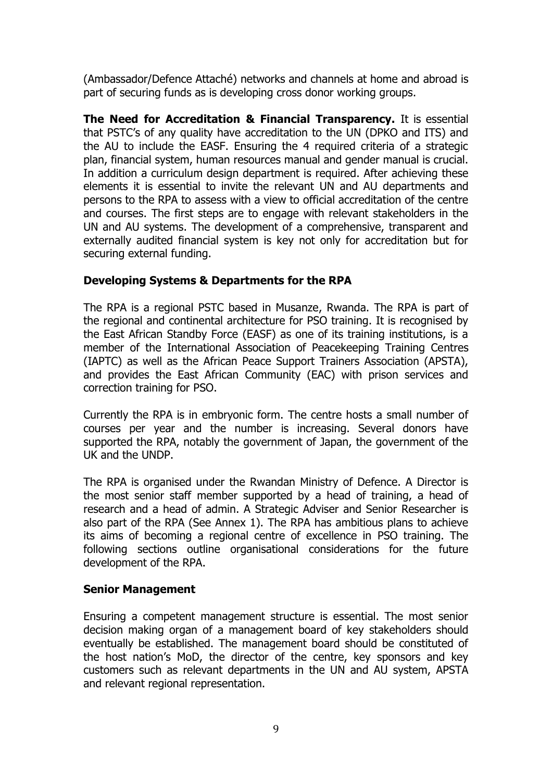(Ambassador/Defence Attaché) networks and channels at home and abroad is part of securing funds as is developing cross donor working groups.

**The Need for Accreditation & Financial Transparency.** It is essential that PSTC's of any quality have accreditation to the UN (DPKO and ITS) and the AU to include the EASF. Ensuring the 4 required criteria of a strategic plan, financial system, human resources manual and gender manual is crucial. In addition a curriculum design department is required. After achieving these elements it is essential to invite the relevant UN and AU departments and persons to the RPA to assess with a view to official accreditation of the centre and courses. The first steps are to engage with relevant stakeholders in the UN and AU systems. The development of a comprehensive, transparent and externally audited financial system is key not only for accreditation but for securing external funding.

## **Developing Systems & Departments for the RPA**

The RPA is a regional PSTC based in Musanze, Rwanda. The RPA is part of the regional and continental architecture for PSO training. It is recognised by the East African Standby Force (EASF) as one of its training institutions, is a member of the International Association of Peacekeeping Training Centres (IAPTC) as well as the African Peace Support Trainers Association (APSTA), and provides the East African Community (EAC) with prison services and correction training for PSO.

Currently the RPA is in embryonic form. The centre hosts a small number of courses per year and the number is increasing. Several donors have supported the RPA, notably the government of Japan, the government of the UK and the UNDP.

The RPA is organised under the Rwandan Ministry of Defence. A Director is the most senior staff member supported by a head of training, a head of research and a head of admin. A Strategic Adviser and Senior Researcher is also part of the RPA (See Annex 1). The RPA has ambitious plans to achieve its aims of becoming a regional centre of excellence in PSO training. The following sections outline organisational considerations for the future development of the RPA.

### **Senior Management**

Ensuring a competent management structure is essential. The most senior decision making organ of a management board of key stakeholders should eventually be established. The management board should be constituted of the host nation's MoD, the director of the centre, key sponsors and key customers such as relevant departments in the UN and AU system, APSTA and relevant regional representation.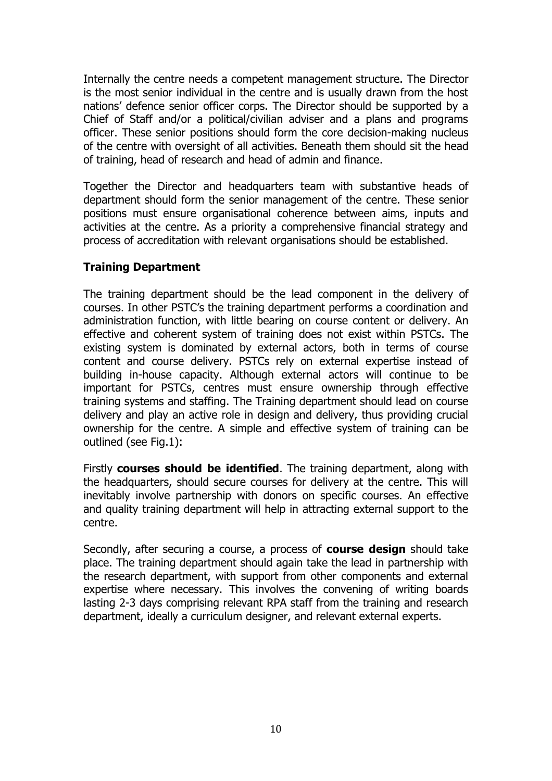Internally the centre needs a competent management structure. The Director is the most senior individual in the centre and is usually drawn from the host nations' defence senior officer corps. The Director should be supported by a Chief of Staff and/or a political/civilian adviser and a plans and programs officer. These senior positions should form the core decision-making nucleus of the centre with oversight of all activities. Beneath them should sit the head of training, head of research and head of admin and finance.

Together the Director and headquarters team with substantive heads of department should form the senior management of the centre. These senior positions must ensure organisational coherence between aims, inputs and activities at the centre. As a priority a comprehensive financial strategy and process of accreditation with relevant organisations should be established.

### **Training Department**

The training department should be the lead component in the delivery of courses. In other PSTC's the training department performs a coordination and administration function, with little bearing on course content or delivery. An effective and coherent system of training does not exist within PSTCs. The existing system is dominated by external actors, both in terms of course content and course delivery. PSTCs rely on external expertise instead of building in-house capacity. Although external actors will continue to be important for PSTCs, centres must ensure ownership through effective training systems and staffing. The Training department should lead on course delivery and play an active role in design and delivery, thus providing crucial ownership for the centre. A simple and effective system of training can be outlined (see Fig.1):

Firstly **courses should be identified**. The training department, along with the headquarters, should secure courses for delivery at the centre. This will inevitably involve partnership with donors on specific courses. An effective and quality training department will help in attracting external support to the centre.

Secondly, after securing a course, a process of **course design** should take place. The training department should again take the lead in partnership with the research department, with support from other components and external expertise where necessary. This involves the convening of writing boards lasting 2-3 days comprising relevant RPA staff from the training and research department, ideally a curriculum designer, and relevant external experts.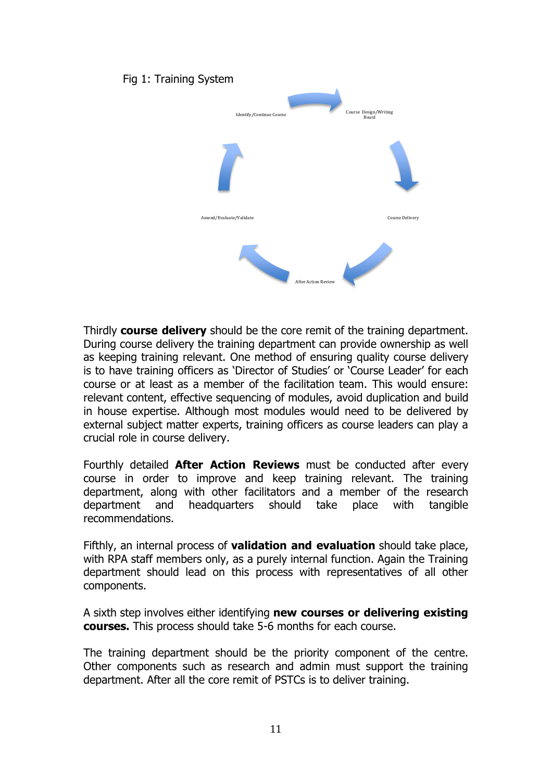#### Fig 1: Training System



Thirdly **course delivery** should be the core remit of the training department. During course delivery the training department can provide ownership as well as keeping training relevant. One method of ensuring quality course delivery is to have training officers as 'Director of Studies' or 'Course Leader' for each course or at least as a member of the facilitation team. This would ensure: relevant content, effective sequencing of modules, avoid duplication and build in house expertise. Although most modules would need to be delivered by external subject matter experts, training officers as course leaders can play a crucial role in course delivery.

Fourthly detailed **After Action Reviews** must be conducted after every course in order to improve and keep training relevant. The training department, along with other facilitators and a member of the research department and headquarters should take place with tangible recommendations.

Fifthly, an internal process of **validation and evaluation** should take place, with RPA staff members only, as a purely internal function. Again the Training department should lead on this process with representatives of all other components.

A sixth step involves either identifying **new courses or delivering existing courses.** This process should take 5-6 months for each course.

The training department should be the priority component of the centre. Other components such as research and admin must support the training department. After all the core remit of PSTCs is to deliver training.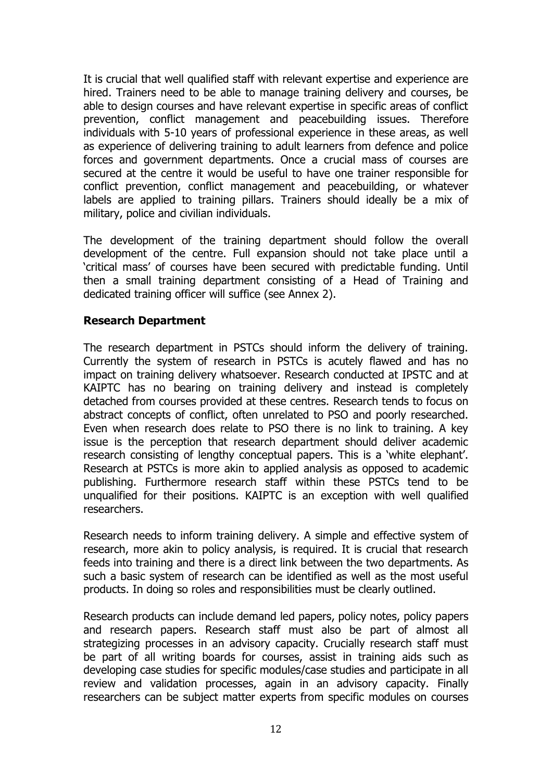It is crucial that well qualified staff with relevant expertise and experience are hired. Trainers need to be able to manage training delivery and courses, be able to design courses and have relevant expertise in specific areas of conflict prevention, conflict management and peacebuilding issues. Therefore individuals with 5-10 years of professional experience in these areas, as well as experience of delivering training to adult learners from defence and police forces and government departments. Once a crucial mass of courses are secured at the centre it would be useful to have one trainer responsible for conflict prevention, conflict management and peacebuilding, or whatever labels are applied to training pillars. Trainers should ideally be a mix of military, police and civilian individuals.

The development of the training department should follow the overall development of the centre. Full expansion should not take place until a 'critical mass' of courses have been secured with predictable funding. Until then a small training department consisting of a Head of Training and dedicated training officer will suffice (see Annex 2).

### **Research Department**

The research department in PSTCs should inform the delivery of training. Currently the system of research in PSTCs is acutely flawed and has no impact on training delivery whatsoever. Research conducted at IPSTC and at KAIPTC has no bearing on training delivery and instead is completely detached from courses provided at these centres. Research tends to focus on abstract concepts of conflict, often unrelated to PSO and poorly researched. Even when research does relate to PSO there is no link to training. A key issue is the perception that research department should deliver academic research consisting of lengthy conceptual papers. This is a 'white elephant'. Research at PSTCs is more akin to applied analysis as opposed to academic publishing. Furthermore research staff within these PSTCs tend to be unqualified for their positions. KAIPTC is an exception with well qualified researchers.

Research needs to inform training delivery. A simple and effective system of research, more akin to policy analysis, is required. It is crucial that research feeds into training and there is a direct link between the two departments. As such a basic system of research can be identified as well as the most useful products. In doing so roles and responsibilities must be clearly outlined.

Research products can include demand led papers, policy notes, policy papers and research papers. Research staff must also be part of almost all strategizing processes in an advisory capacity. Crucially research staff must be part of all writing boards for courses, assist in training aids such as developing case studies for specific modules/case studies and participate in all review and validation processes, again in an advisory capacity. Finally researchers can be subject matter experts from specific modules on courses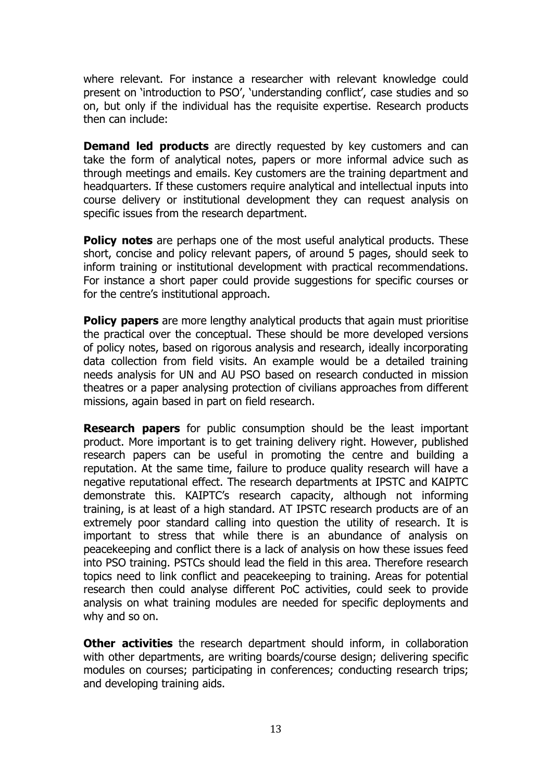where relevant. For instance a researcher with relevant knowledge could present on 'introduction to PSO', 'understanding conflict', case studies and so on, but only if the individual has the requisite expertise. Research products then can include:

**Demand led products** are directly requested by key customers and can take the form of analytical notes, papers or more informal advice such as through meetings and emails. Key customers are the training department and headquarters. If these customers require analytical and intellectual inputs into course delivery or institutional development they can request analysis on specific issues from the research department.

**Policy notes** are perhaps one of the most useful analytical products. These short, concise and policy relevant papers, of around 5 pages, should seek to inform training or institutional development with practical recommendations. For instance a short paper could provide suggestions for specific courses or for the centre's institutional approach.

**Policy papers** are more lengthy analytical products that again must prioritise the practical over the conceptual. These should be more developed versions of policy notes, based on rigorous analysis and research, ideally incorporating data collection from field visits. An example would be a detailed training needs analysis for UN and AU PSO based on research conducted in mission theatres or a paper analysing protection of civilians approaches from different missions, again based in part on field research.

**Research papers** for public consumption should be the least important product. More important is to get training delivery right. However, published research papers can be useful in promoting the centre and building a reputation. At the same time, failure to produce quality research will have a negative reputational effect. The research departments at IPSTC and KAIPTC demonstrate this. KAIPTC's research capacity, although not informing training, is at least of a high standard. AT IPSTC research products are of an extremely poor standard calling into question the utility of research. It is important to stress that while there is an abundance of analysis on peacekeeping and conflict there is a lack of analysis on how these issues feed into PSO training. PSTCs should lead the field in this area. Therefore research topics need to link conflict and peacekeeping to training. Areas for potential research then could analyse different PoC activities, could seek to provide analysis on what training modules are needed for specific deployments and why and so on.

**Other activities** the research department should inform, in collaboration with other departments, are writing boards/course design; delivering specific modules on courses; participating in conferences; conducting research trips; and developing training aids.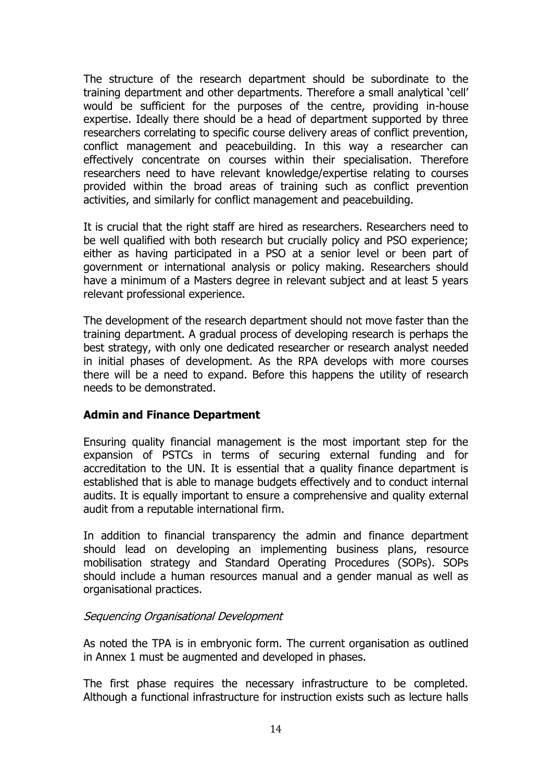The structure of the research department should be subordinate to the training department and other departments. Therefore a small analytical 'cell' would be sufficient for the purposes of the centre, providing in-house expertise. Ideally there should be a head of department supported by three researchers correlating to specific course delivery areas of conflict prevention, conflict management and peacebuilding. In this way a researcher can effectively concentrate on courses within their specialisation. Therefore researchers need to have relevant knowledge/expertise relating to courses provided within the broad areas of training such as conflict prevention activities, and similarly for conflict management and peacebuilding.

It is crucial that the right staff are hired as researchers. Researchers need to be well qualified with both research but crucially policy and PSO experience; either as having participated in a PSO at a senior level or been part of government or international analysis or policy making. Researchers should have a minimum of a Masters degree in relevant subject and at least 5 years relevant professional experience.

The development of the research department should not move faster than the training department. A gradual process of developing research is perhaps the best strategy, with only one dedicated researcher or research analyst needed in initial phases of development. As the RPA develops with more courses there will be a need to expand. Before this happens the utility of research needs to be demonstrated.

### **Admin and Finance Department**

Ensuring quality financial management is the most important step for the expansion of PSTCs in terms of securing external funding and for accreditation to the UN. It is essential that a quality finance department is established that is able to manage budgets effectively and to conduct internal audits. It is equally important to ensure a comprehensive and quality external audit from a reputable international firm.

In addition to financial transparency the admin and finance department should lead on developing an implementing business plans, resource mobilisation strategy and Standard Operating Procedures (SOPs). SOPs should include a human resources manual and a gender manual as well as organisational practices.

### Sequencing Organisational Development

As noted the TPA is in embryonic form. The current organisation as outlined in Annex 1 must be augmented and developed in phases.

The first phase requires the necessary infrastructure to be completed. Although a functional infrastructure for instruction exists such as lecture halls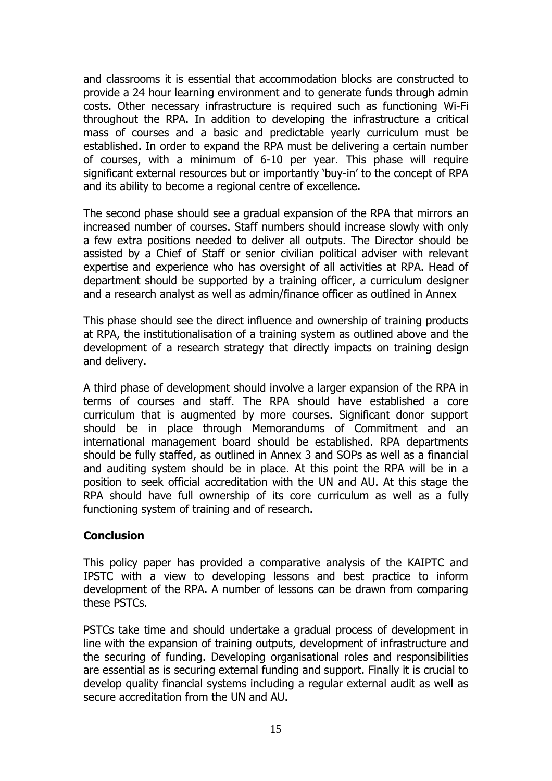and classrooms it is essential that accommodation blocks are constructed to provide a 24 hour learning environment and to generate funds through admin costs. Other necessary infrastructure is required such as functioning Wi-Fi throughout the RPA. In addition to developing the infrastructure a critical mass of courses and a basic and predictable yearly curriculum must be established. In order to expand the RPA must be delivering a certain number of courses, with a minimum of 6-10 per year. This phase will require significant external resources but or importantly 'buy-in' to the concept of RPA and its ability to become a regional centre of excellence.

The second phase should see a gradual expansion of the RPA that mirrors an increased number of courses. Staff numbers should increase slowly with only a few extra positions needed to deliver all outputs. The Director should be assisted by a Chief of Staff or senior civilian political adviser with relevant expertise and experience who has oversight of all activities at RPA. Head of department should be supported by a training officer, a curriculum designer and a research analyst as well as admin/finance officer as outlined in Annex

This phase should see the direct influence and ownership of training products at RPA, the institutionalisation of a training system as outlined above and the development of a research strategy that directly impacts on training design and delivery.

A third phase of development should involve a larger expansion of the RPA in terms of courses and staff. The RPA should have established a core curriculum that is augmented by more courses. Significant donor support should be in place through Memorandums of Commitment and an international management board should be established. RPA departments should be fully staffed, as outlined in Annex 3 and SOPs as well as a financial and auditing system should be in place. At this point the RPA will be in a position to seek official accreditation with the UN and AU. At this stage the RPA should have full ownership of its core curriculum as well as a fully functioning system of training and of research.

## **Conclusion**

This policy paper has provided a comparative analysis of the KAIPTC and IPSTC with a view to developing lessons and best practice to inform development of the RPA. A number of lessons can be drawn from comparing these PSTCs.

PSTCs take time and should undertake a gradual process of development in line with the expansion of training outputs, development of infrastructure and the securing of funding. Developing organisational roles and responsibilities are essential as is securing external funding and support. Finally it is crucial to develop quality financial systems including a regular external audit as well as secure accreditation from the UN and AU.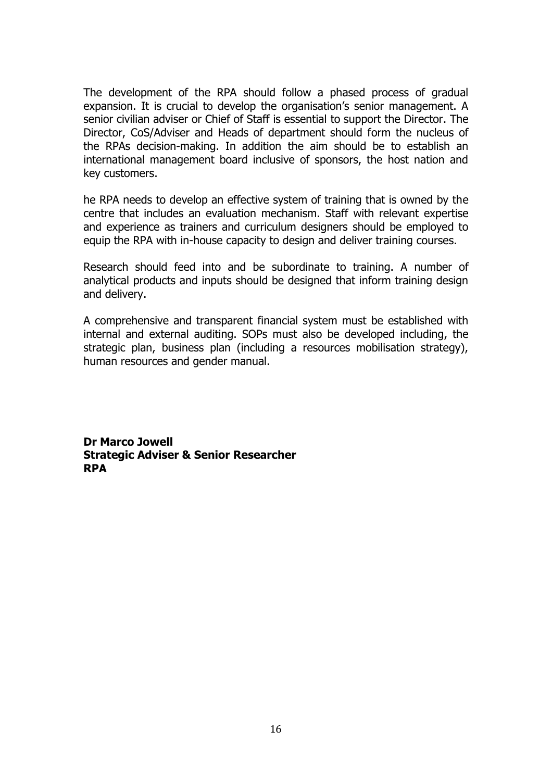The development of the RPA should follow a phased process of gradual expansion. It is crucial to develop the organisation's senior management. A senior civilian adviser or Chief of Staff is essential to support the Director. The Director, CoS/Adviser and Heads of department should form the nucleus of the RPAs decision-making. In addition the aim should be to establish an international management board inclusive of sponsors, the host nation and key customers.

he RPA needs to develop an effective system of training that is owned by the centre that includes an evaluation mechanism. Staff with relevant expertise and experience as trainers and curriculum designers should be employed to equip the RPA with in-house capacity to design and deliver training courses.

Research should feed into and be subordinate to training. A number of analytical products and inputs should be designed that inform training design and delivery.

A comprehensive and transparent financial system must be established with internal and external auditing. SOPs must also be developed including, the strategic plan, business plan (including a resources mobilisation strategy), human resources and gender manual.

**Dr Marco Jowell Strategic Adviser & Senior Researcher RPA**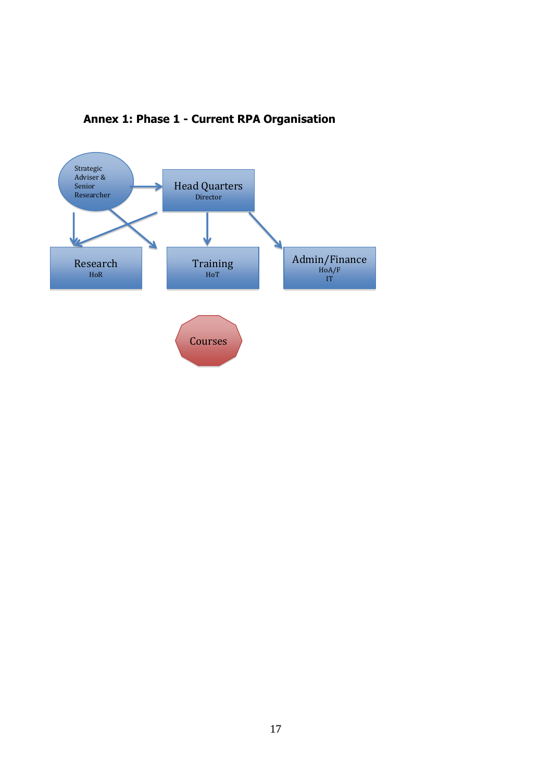

# **Annex 1: Phase 1 - Current RPA Organisation**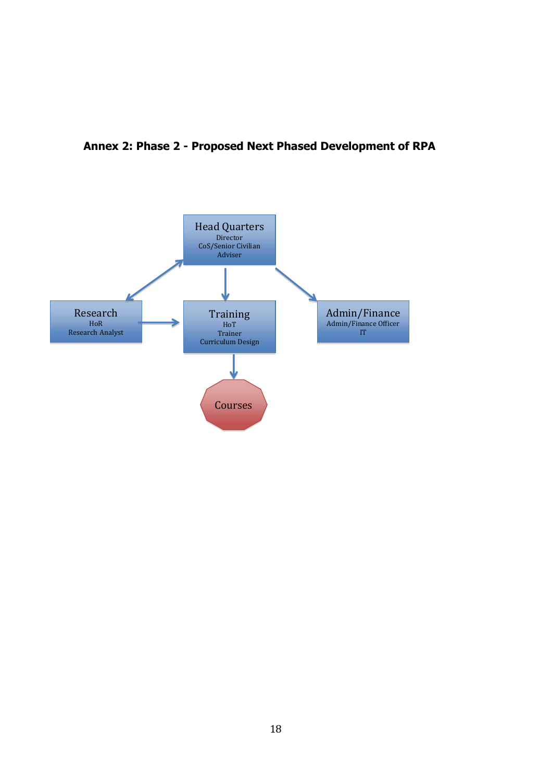